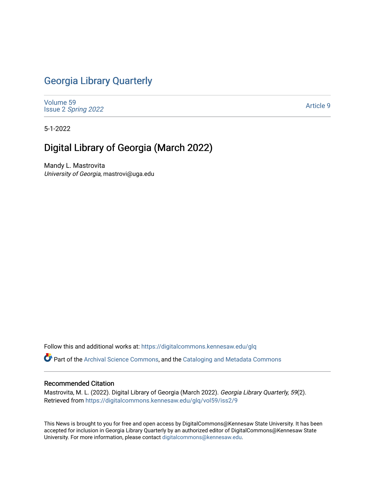## [Georgia Library Quarterly](https://digitalcommons.kennesaw.edu/glq)

[Volume 59](https://digitalcommons.kennesaw.edu/glq/vol59) Issue 2 [Spring 2022](https://digitalcommons.kennesaw.edu/glq/vol59/iss2) 

[Article 9](https://digitalcommons.kennesaw.edu/glq/vol59/iss2/9) 

5-1-2022

# Digital Library of Georgia (March 2022)

Mandy L. Mastrovita University of Georgia, mastrovi@uga.edu

Follow this and additional works at: [https://digitalcommons.kennesaw.edu/glq](https://digitalcommons.kennesaw.edu/glq?utm_source=digitalcommons.kennesaw.edu%2Fglq%2Fvol59%2Fiss2%2F9&utm_medium=PDF&utm_campaign=PDFCoverPages) 

Part of the [Archival Science Commons,](http://network.bepress.com/hgg/discipline/1021?utm_source=digitalcommons.kennesaw.edu%2Fglq%2Fvol59%2Fiss2%2F9&utm_medium=PDF&utm_campaign=PDFCoverPages) and the [Cataloging and Metadata Commons](http://network.bepress.com/hgg/discipline/1270?utm_source=digitalcommons.kennesaw.edu%2Fglq%2Fvol59%2Fiss2%2F9&utm_medium=PDF&utm_campaign=PDFCoverPages) 

#### Recommended Citation

Mastrovita, M. L. (2022). Digital Library of Georgia (March 2022). Georgia Library Quarterly, 59(2). Retrieved from [https://digitalcommons.kennesaw.edu/glq/vol59/iss2/9](https://digitalcommons.kennesaw.edu/glq/vol59/iss2/9?utm_source=digitalcommons.kennesaw.edu%2Fglq%2Fvol59%2Fiss2%2F9&utm_medium=PDF&utm_campaign=PDFCoverPages)

This News is brought to you for free and open access by DigitalCommons@Kennesaw State University. It has been accepted for inclusion in Georgia Library Quarterly by an authorized editor of DigitalCommons@Kennesaw State University. For more information, please contact [digitalcommons@kennesaw.edu.](mailto:digitalcommons@kennesaw.edu)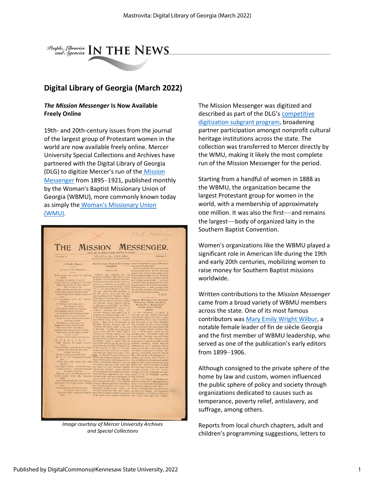

### **Digital Library of Georgia (March 2022)**

#### *The Mission Messenger* **Is Now Available Freely Online**

19th- and 20th-century issues from the journal of the largest group of Protestant women in the world are now available freely online. Mercer University Special Collections and Archives have partnered with the Digital Library of Georgia (DLG) to digitize Mercer's run of the [Mission](https://usg.us20.list-manage.com/track/click?u=344ecc2c1b225f98f8389ce71&id=398a438d04&e=ed217ce677)  [Messenger](https://usg.us20.list-manage.com/track/click?u=344ecc2c1b225f98f8389ce71&id=398a438d04&e=ed217ce677) from 1895–1921, published monthly by the Woman's Baptist Missionary Union of Georgia (WBMU), more commonly known today as simply the [Woman's Missionary Union](https://usg.us20.list-manage.com/track/click?u=344ecc2c1b225f98f8389ce71&id=f1afd54a8f&e=ed217ce677) [\(WMU\).](https://usg.us20.list-manage.com/track/click?u=344ecc2c1b225f98f8389ce71&id=f1afd54a8f&e=ed217ce677)



*Image courtesy of Mercer University Archives and Special Collections*

The Mission Messenger was digitized and described as part of the DLG's [competitive](https://usg.us20.list-manage.com/track/click?u=344ecc2c1b225f98f8389ce71&id=22d621e532&e=ed217ce677)  [digitization subgrant program,](https://usg.us20.list-manage.com/track/click?u=344ecc2c1b225f98f8389ce71&id=22d621e532&e=ed217ce677) broadening partner participation amongst nonprofit cultural heritage institutions across the state. The collection was transferred to Mercer directly by the WMU, making it likely the most complete run of the Mission Messenger for the period.

Starting from a handful of women in 1888 as the WBMU, the organization became the largest Protestant group for women in the world, with a membership of approximately one million. It was also the first—and remains the largest—body of organized laity in the Southern Baptist Convention.

Women's organizations like the WBMU played a significant role in American life during the 19th and early 20th centuries, mobilizing women to raise money for Southern Baptist missions worldwide.

Written contributions to the *Mission Messenger* came from a broad variety of WBMU members across the state. One of its most famous contributors was [Mary Emily Wright Wilbur,](https://usg.us20.list-manage.com/track/click?u=344ecc2c1b225f98f8389ce71&id=1934057599&e=ed217ce677) a notable female leader of fin de siècle Georgia and the first member of WBMU leadership, who served as one of the publication's early editors from 1899–1906.

Although consigned to the private sphere of the home by law and custom, women influenced the public sphere of policy and society through organizations dedicated to causes such as temperance, poverty relief, antislavery, and suffrage, among others.

Reports from local church chapters, adult and children's programming suggestions, letters to